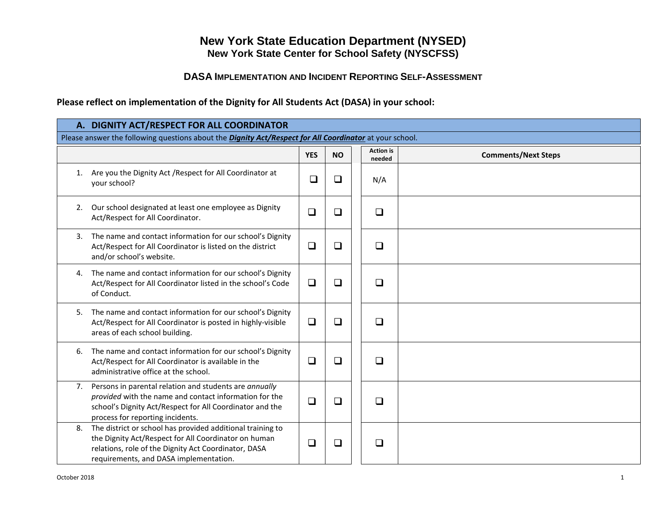## **New York State Education Department (NYSED) New York State Center for School Safety (NYSCFSS)**

## **DASA IMPLEMENTATION AND INCIDENT REPORTING SELF-ASSESSMENT**

**Please reflect on implementation of the Dignity for All Students Act (DASA) in your school:**

|    | A. DIGNITY ACT/RESPECT FOR ALL COORDINATOR                                                                                                                                                                           |            |           |  |                            |                            |  |  |  |
|----|----------------------------------------------------------------------------------------------------------------------------------------------------------------------------------------------------------------------|------------|-----------|--|----------------------------|----------------------------|--|--|--|
|    | Please answer the following questions about the <b>Dignity Act/Respect for All Coordinator</b> at your school.                                                                                                       |            |           |  |                            |                            |  |  |  |
|    |                                                                                                                                                                                                                      | <b>YES</b> | <b>NO</b> |  | <b>Action</b> is<br>needed | <b>Comments/Next Steps</b> |  |  |  |
| 1. | Are you the Dignity Act / Respect for All Coordinator at<br>your school?                                                                                                                                             | $\Box$     | $\Box$    |  | N/A                        |                            |  |  |  |
| 2. | Our school designated at least one employee as Dignity<br>Act/Respect for All Coordinator.                                                                                                                           | $\Box$     | $\Box$    |  | $\Box$                     |                            |  |  |  |
| 3. | The name and contact information for our school's Dignity<br>Act/Respect for All Coordinator is listed on the district<br>and/or school's website.                                                                   | $\Box$     | $\Box$    |  | $\Box$                     |                            |  |  |  |
| 4. | The name and contact information for our school's Dignity<br>Act/Respect for All Coordinator listed in the school's Code<br>of Conduct.                                                                              | $\Box$     | $\Box$    |  | $\Box$                     |                            |  |  |  |
| 5. | The name and contact information for our school's Dignity<br>Act/Respect for All Coordinator is posted in highly-visible<br>areas of each school building.                                                           | $\Box$     | $\Box$    |  | $\Box$                     |                            |  |  |  |
| 6. | The name and contact information for our school's Dignity<br>Act/Respect for All Coordinator is available in the<br>administrative office at the school.                                                             | $\Box$     | ❏         |  | $\Box$                     |                            |  |  |  |
|    | 7. Persons in parental relation and students are annually<br>provided with the name and contact information for the<br>school's Dignity Act/Respect for All Coordinator and the<br>process for reporting incidents.  | $\Box$     | $\Box$    |  | $\Box$                     |                            |  |  |  |
| 8. | The district or school has provided additional training to<br>the Dignity Act/Respect for All Coordinator on human<br>relations, role of the Dignity Act Coordinator, DASA<br>requirements, and DASA implementation. | $\Box$     | $\Box$    |  | $\Box$                     |                            |  |  |  |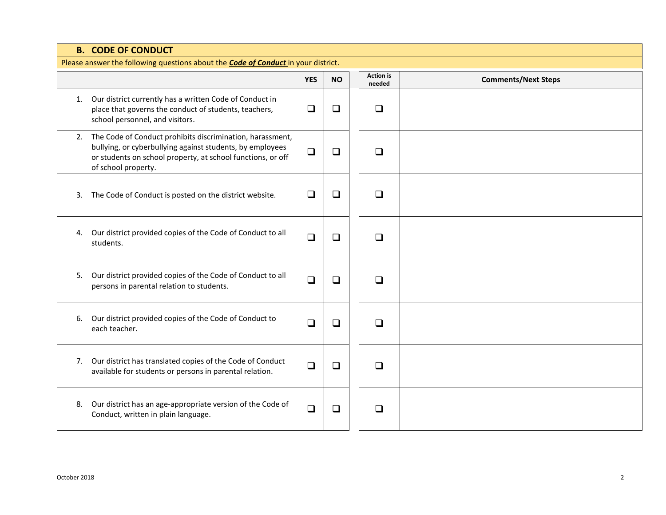|    | <b>B. CODE OF CONDUCT</b>                                                                                                                                                                                    |            |           |  |                            |                            |  |  |  |
|----|--------------------------------------------------------------------------------------------------------------------------------------------------------------------------------------------------------------|------------|-----------|--|----------------------------|----------------------------|--|--|--|
|    | Please answer the following questions about the <b>Code of Conduct</b> in your district.                                                                                                                     |            |           |  |                            |                            |  |  |  |
|    |                                                                                                                                                                                                              | <b>YES</b> | <b>NO</b> |  | <b>Action</b> is<br>needed | <b>Comments/Next Steps</b> |  |  |  |
|    | 1. Our district currently has a written Code of Conduct in<br>place that governs the conduct of students, teachers,<br>school personnel, and visitors.                                                       | $\Box$     | $\Box$    |  | $\Box$                     |                            |  |  |  |
| 2. | The Code of Conduct prohibits discrimination, harassment,<br>bullying, or cyberbullying against students, by employees<br>or students on school property, at school functions, or off<br>of school property. | $\Box$     | $\Box$    |  | $\Box$                     |                            |  |  |  |
| 3. | The Code of Conduct is posted on the district website.                                                                                                                                                       | $\Box$     | $\Box$    |  | $\Box$                     |                            |  |  |  |
|    | 4. Our district provided copies of the Code of Conduct to all<br>students.                                                                                                                                   | $\Box$     | $\Box$    |  | $\Box$                     |                            |  |  |  |
| 5. | Our district provided copies of the Code of Conduct to all<br>persons in parental relation to students.                                                                                                      | $\Box$     | $\Box$    |  | ❏                          |                            |  |  |  |
| 6. | Our district provided copies of the Code of Conduct to<br>each teacher.                                                                                                                                      | □          | $\Box$    |  | □                          |                            |  |  |  |
| 7. | Our district has translated copies of the Code of Conduct<br>available for students or persons in parental relation.                                                                                         | $\Box$     | $\Box$    |  | $\Box$                     |                            |  |  |  |
| 8. | Our district has an age-appropriate version of the Code of<br>Conduct, written in plain language.                                                                                                            | $\Box$     | $\Box$    |  | $\Box$                     |                            |  |  |  |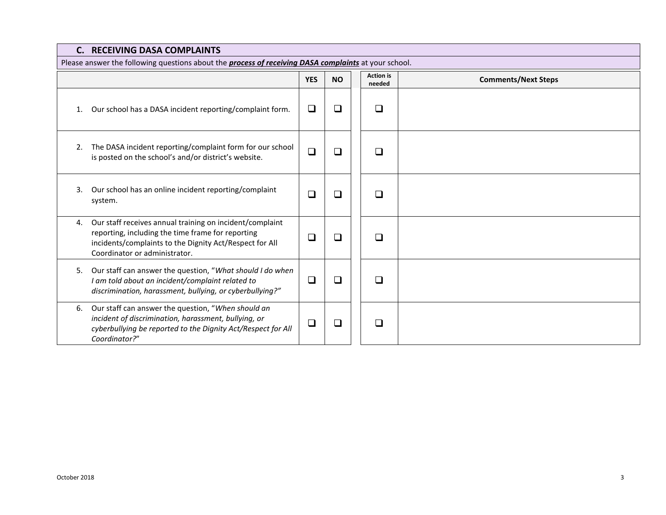|                                                                                                             | <b>C. RECEIVING DASA COMPLAINTS</b>                                                                                                                                                                       |            |           |  |                            |                            |  |  |  |
|-------------------------------------------------------------------------------------------------------------|-----------------------------------------------------------------------------------------------------------------------------------------------------------------------------------------------------------|------------|-----------|--|----------------------------|----------------------------|--|--|--|
| Please answer the following questions about the <i>process of receiving DASA complaints</i> at your school. |                                                                                                                                                                                                           |            |           |  |                            |                            |  |  |  |
|                                                                                                             |                                                                                                                                                                                                           | <b>YES</b> | <b>NO</b> |  | <b>Action</b> is<br>needed | <b>Comments/Next Steps</b> |  |  |  |
| 1.                                                                                                          | Our school has a DASA incident reporting/complaint form.                                                                                                                                                  | □          | ❏         |  | □                          |                            |  |  |  |
| 2.                                                                                                          | The DASA incident reporting/complaint form for our school<br>is posted on the school's and/or district's website.                                                                                         | $\Box$     | ❏         |  | ⊓                          |                            |  |  |  |
| 3.                                                                                                          | Our school has an online incident reporting/complaint<br>system.                                                                                                                                          | $\Box$     | ❏         |  | □                          |                            |  |  |  |
| 4.                                                                                                          | Our staff receives annual training on incident/complaint<br>reporting, including the time frame for reporting<br>incidents/complaints to the Dignity Act/Respect for All<br>Coordinator or administrator. | $\Box$     | ❏         |  | □                          |                            |  |  |  |
| 5.                                                                                                          | Our staff can answer the question, "What should I do when<br>I am told about an incident/complaint related to<br>discrimination, harassment, bullying, or cyberbullying?"                                 | $\Box$     | ❏         |  | $\Box$                     |                            |  |  |  |
| 6.                                                                                                          | Our staff can answer the question, "When should an<br>incident of discrimination, harassment, bullying, or<br>cyberbullying be reported to the Dignity Act/Respect for All<br>Coordinator?"               | ப          | ❏         |  | П                          |                            |  |  |  |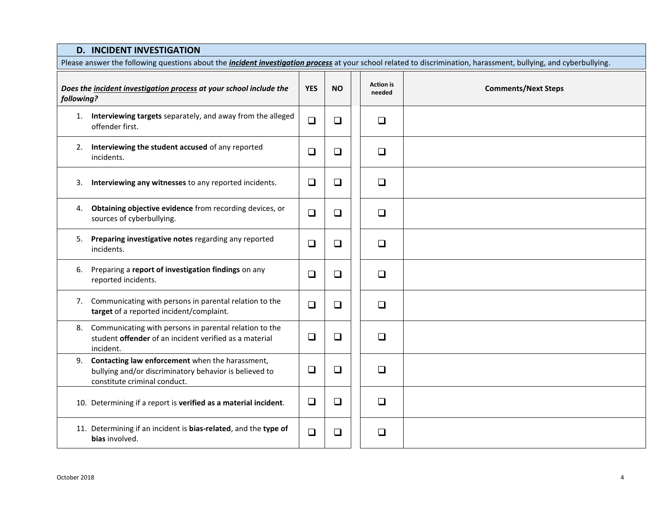## **D. INCIDENT INVESTIGATION**

| Please answer the following questions about the <i>incident investigation process</i> at your school related to discrimination, harassment, bullying, and cyberbullying. |                                                                                                                                              |            |           |  |                            |                            |
|--------------------------------------------------------------------------------------------------------------------------------------------------------------------------|----------------------------------------------------------------------------------------------------------------------------------------------|------------|-----------|--|----------------------------|----------------------------|
| Does the incident investigation process at your school include the<br>following?                                                                                         |                                                                                                                                              | <b>YES</b> | <b>NO</b> |  | <b>Action</b> is<br>needed | <b>Comments/Next Steps</b> |
|                                                                                                                                                                          | 1. Interviewing targets separately, and away from the alleged<br>offender first.                                                             | $\Box$     | $\Box$    |  | $\Box$                     |                            |
|                                                                                                                                                                          | 2. Interviewing the student accused of any reported<br>incidents.                                                                            | $\Box$     | $\Box$    |  | $\Box$                     |                            |
| 3.                                                                                                                                                                       | Interviewing any witnesses to any reported incidents.                                                                                        | $\Box$     | $\Box$    |  | $\Box$                     |                            |
| 4.                                                                                                                                                                       | Obtaining objective evidence from recording devices, or<br>sources of cyberbullying.                                                         | $\Box$     | $\Box$    |  | $\Box$                     |                            |
|                                                                                                                                                                          | 5. Preparing investigative notes regarding any reported<br>incidents.                                                                        | $\Box$     | $\Box$    |  | $\Box$                     |                            |
| 6.                                                                                                                                                                       | Preparing a report of investigation findings on any<br>reported incidents.                                                                   | $\Box$     | $\Box$    |  | $\Box$                     |                            |
|                                                                                                                                                                          | 7. Communicating with persons in parental relation to the<br>target of a reported incident/complaint.                                        | $\Box$     | $\Box$    |  | $\Box$                     |                            |
| 8.                                                                                                                                                                       | Communicating with persons in parental relation to the<br>student offender of an incident verified as a material<br>incident.                | $\Box$     | $\Box$    |  | $\Box$                     |                            |
|                                                                                                                                                                          | 9. Contacting law enforcement when the harassment,<br>bullying and/or discriminatory behavior is believed to<br>constitute criminal conduct. | $\Box$     | $\Box$    |  | $\Box$                     |                            |
|                                                                                                                                                                          | 10. Determining if a report is verified as a material incident.                                                                              | $\Box$     | $\Box$    |  | $\Box$                     |                            |
|                                                                                                                                                                          | 11. Determining if an incident is bias-related, and the type of<br>bias involved.                                                            | $\Box$     | $\Box$    |  | ❏                          |                            |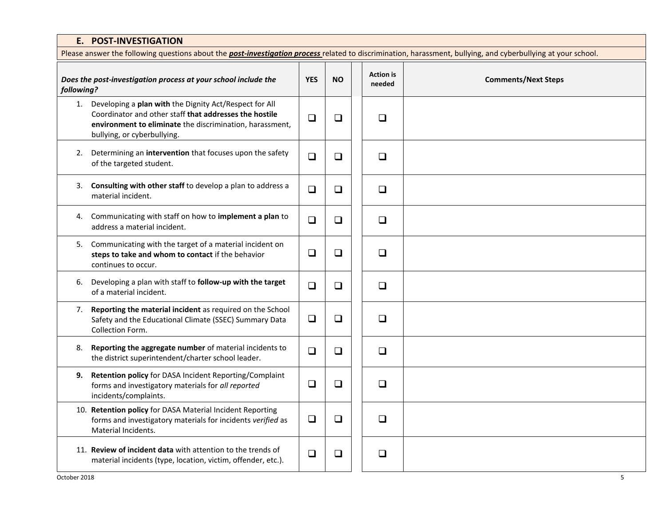|            | E. POST-INVESTIGATION                                                                                                                                                                                          |            |           |  |                            |                            |  |  |
|------------|----------------------------------------------------------------------------------------------------------------------------------------------------------------------------------------------------------------|------------|-----------|--|----------------------------|----------------------------|--|--|
|            | Please answer the following questions about the <b>post-investigation process</b> related to discrimination, harassment, bullying, and cyberbullying at your school.                                           |            |           |  |                            |                            |  |  |
| following? | Does the post-investigation process at your school include the                                                                                                                                                 | <b>YES</b> | <b>NO</b> |  | <b>Action</b> is<br>needed | <b>Comments/Next Steps</b> |  |  |
|            | 1. Developing a plan with the Dignity Act/Respect for All<br>Coordinator and other staff that addresses the hostile<br>environment to eliminate the discrimination, harassment,<br>bullying, or cyberbullying. | $\Box$     | $\Box$    |  | $\Box$                     |                            |  |  |
|            | 2. Determining an intervention that focuses upon the safety<br>of the targeted student.                                                                                                                        | $\Box$     | $\Box$    |  | $\Box$                     |                            |  |  |
| 3.         | Consulting with other staff to develop a plan to address a<br>material incident.                                                                                                                               | $\Box$     | $\Box$    |  | $\Box$                     |                            |  |  |
| 4.         | Communicating with staff on how to implement a plan to<br>address a material incident.                                                                                                                         | $\Box$     | $\Box$    |  | $\Box$                     |                            |  |  |
|            | 5. Communicating with the target of a material incident on<br>steps to take and whom to contact if the behavior<br>continues to occur.                                                                         | $\Box$     | $\Box$    |  | $\Box$                     |                            |  |  |
| 6.         | Developing a plan with staff to follow-up with the target<br>of a material incident.                                                                                                                           | $\Box$     | $\Box$    |  | $\Box$                     |                            |  |  |
| 7.         | Reporting the material incident as required on the School<br>Safety and the Educational Climate (SSEC) Summary Data<br>Collection Form.                                                                        | $\Box$     | $\Box$    |  | $\Box$                     |                            |  |  |
| 8.         | Reporting the aggregate number of material incidents to<br>the district superintendent/charter school leader.                                                                                                  | $\Box$     | $\Box$    |  | $\Box$                     |                            |  |  |
| 9.         | Retention policy for DASA Incident Reporting/Complaint<br>forms and investigatory materials for all reported<br>incidents/complaints.                                                                          | $\Box$     | $\Box$    |  | $\Box$                     |                            |  |  |
|            | 10. Retention policy for DASA Material Incident Reporting<br>forms and investigatory materials for incidents verified as<br>Material Incidents.                                                                | $\Box$     | $\Box$    |  | $\Box$                     |                            |  |  |
|            | 11. Review of incident data with attention to the trends of<br>material incidents (type, location, victim, offender, etc.).                                                                                    | $\Box$     | $\Box$    |  | $\Box$                     |                            |  |  |